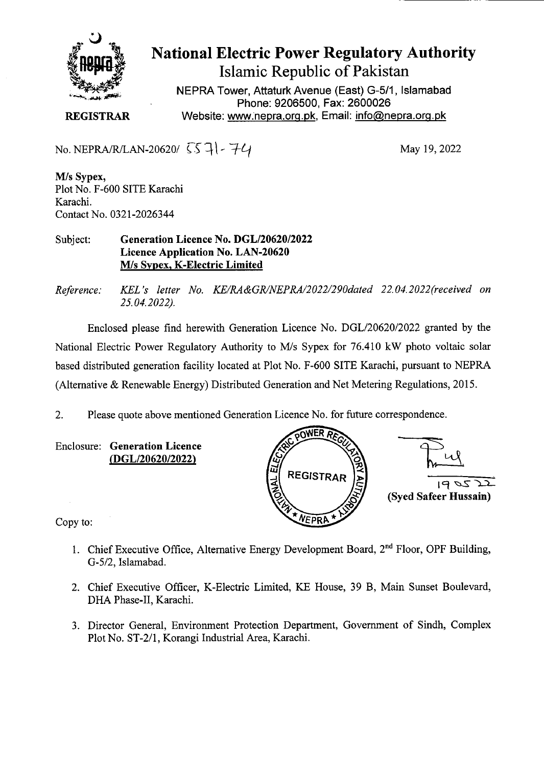

## **National Electric Power Regulatory Authority Islamic Republic of Pakistan**

NEPRA Tower, Attaturk Avenue (East) G-511, Islamabad Phone: 9206500, Fax: 2600026 **REGISTRAR Website: www.nepra.org.pk, Email: info@nepra.org.pk** 

No. NEPRA/R/LAN-20620/  $557$  -  $74$ 

May 19, 2022

**M/s Sypex,**  Plot No. F-600 SITE Karachi Karachi. Contact No. 0321-2026344

Subject: **Generation Licence No.** *DGL120620/2022*  **Licence Application No. LAN-20620 M/s Sypex, K-Electric Limited** 

*Reference: KEL 's letter No. KE/RA&GR/NEPRA/2022/290dated 22.04. 2022(received on 25.04.2022).* 

Enclosed please find herewith Generation Licence No. DGL/20620/2022 granted by the National Electric Power Regulatory Authority to M/s Sypex for 76.410 kW photo voltaic solar based distributed generation facility located at Plot No. F-600 SITE Karachi, pursuant to NEPRA (Alternative & Renewable Energy) Distributed Generation and Net Metering Regulations, 2015.

2. Please quote above mentioned Generation Licence No. for future correspondence.

**Enclosure: Generation Licence (DGL/20620/2022)** 



Copy to:

- 1. Chief Executive Office, Alternative Energy Development Board,  $2<sup>nd</sup>$  Floor, OPF Building, *G-512,* Islamabad.
- 2. Chief Executive Officer, K-Electric Limited, KE House, 39 B, Main Sunset Boulevard, DHA Phase-IT, Karachi.
- 3. Director General, Environment Protection Department, Government of Sindh, Complex Plot No. ST-2/1, Korangi Industrial Area, Karachi.